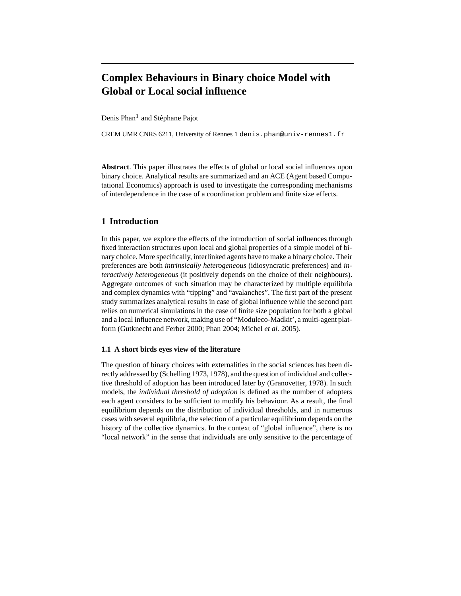# **Complex Behaviours in Binary choice Model with Global or Local social influence**

Denis Phan<sup>1</sup> and Stéphane Pajot

CREM UMR CNRS 6211, University of Rennes 1 denis.phan@univ-rennes1.fr

**Abstract**. This paper illustrates the effects of global or local social influences upon binary choice. Analytical results are summarized and an ACE (Agent based Computational Economics) approach is used to investigate the corresponding mechanisms of interdependence in the case of a coordination problem and finite size effects.

# **1 Introduction**

In this paper, we explore the effects of the introduction of social influences through fixed interaction structures upon local and global properties of a simple model of binary choice. More specifically, interlinked agents have to make a binary choice. Their preferences are both *intrinsically heterogeneous* (idiosyncratic preferences) and *interactively heterogeneous* (it positively depends on the choice of their neighbours). Aggregate outcomes of such situation may be characterized by multiple equilibria and complex dynamics with "tipping" and "avalanches". The first part of the present study summarizes analytical results in case of global influence while the second part relies on numerical simulations in the case of finite size population for both a global and a local influence network, making use of "Moduleco-Madkit', a multi-agent platform (Gutknecht and Ferber 2000; Phan 2004; Michel *et al.* 2005).

#### **1.1 A short birds eyes view of the literature**

The question of binary choices with externalities in the social sciences has been directly addressed by (Schelling 1973, 1978), and the question of individual and collective threshold of adoption has been introduced later by (Granovetter, 1978). In such models, the *individual threshold of adoption* is defined as the number of adopters each agent considers to be sufficient to modify his behaviour. As a result, the final equilibrium depends on the distribution of individual thresholds, and in numerous cases with several equilibria, the selection of a particular equilibrium depends on the history of the collective dynamics. In the context of "global influence", there is no "local network" in the sense that individuals are only sensitive to the percentage of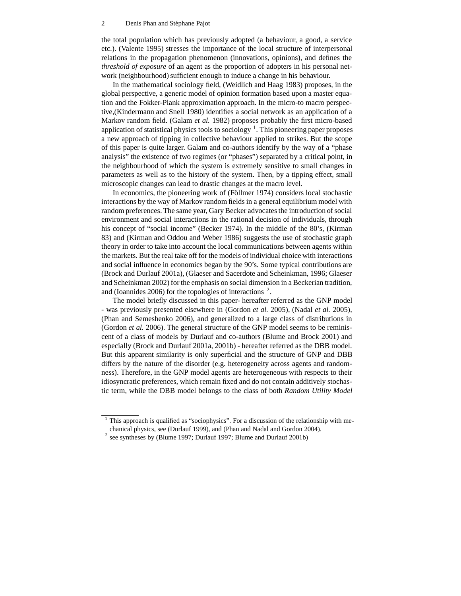the total population which has previously adopted (a behaviour, a good, a service etc.). (Valente 1995) stresses the importance of the local structure of interpersonal relations in the propagation phenomenon (innovations, opinions), and defines the *threshold of exposure* of an agent as the proportion of adopters in his personal network (neighbourhood) sufficient enough to induce a change in his behaviour.

In the mathematical sociology field, (Weidlich and Haag 1983) proposes, in the global perspective, a generic model of opinion formation based upon a master equation and the Fokker-Plank approximation approach. In the micro-to macro perspective,(Kindermann and Snell 1980) identifies a social network as an application of a Markov random field. (Galam *et al.* 1982) proposes probably the first micro-based application of statistical physics tools to sociology  $<sup>1</sup>$ . This pioneering paper proposes</sup> a new approach of tipping in collective behaviour applied to strikes. But the scope of this paper is quite larger. Galam and co-authors identify by the way of a "phase analysis" the existence of two regimes (or "phases") separated by a critical point, in the neighbourhood of which the system is extremely sensitive to small changes in parameters as well as to the history of the system. Then, by a tipping effect, small microscopic changes can lead to drastic changes at the macro level.

In economics, the pioneering work of (Föllmer 1974) considers local stochastic interactions by the way of Markov random fields in a general equilibrium model with random preferences. The same year, Gary Becker advocates the introduction of social environment and social interactions in the rational decision of individuals, through his concept of "social income" (Becker 1974). In the middle of the 80's, (Kirman 83) and (Kirman and Oddou and Weber 1986) suggests the use of stochastic graph theory in order to take into account the local communications between agents within the markets. But the real take off for the models of individual choice with interactions and social influence in economics began by the 90's. Some typical contributions are (Brock and Durlauf 2001a), (Glaeser and Sacerdote and Scheinkman, 1996; Glaeser and Scheinkman 2002) for the emphasis on social dimension in a Beckerian tradition, and (Ioannides 2006) for the topologies of interactions  $2$ .

The model briefly discussed in this paper- hereafter referred as the GNP model - was previously presented elsewhere in (Gordon *et al.* 2005), (Nadal *et al.* 2005), (Phan and Semeshenko 2006), and generalized to a large class of distributions in (Gordon *et al.* 2006). The general structure of the GNP model seems to be reminiscent of a class of models by Durlauf and co-authors (Blume and Brock 2001) and especially (Brock and Durlauf 2001a, 2001b) - hereafter referred as the DBB model. But this apparent similarity is only superficial and the structure of GNP and DBB differs by the nature of the disorder (e.g. heterogeneity across agents and randomness). Therefore, in the GNP model agents are heterogeneous with respects to their idiosyncratic preferences, which remain fixed and do not contain additively stochastic term, while the DBB model belongs to the class of both *Random Utility Model*

 $1$  This approach is qualified as "sociophysics". For a discussion of the relationship with mechanical physics, see (Durlauf 1999), and (Phan and Nadal and Gordon 2004).

<sup>2</sup> see syntheses by (Blume 1997; Durlauf 1997; Blume and Durlauf 2001b)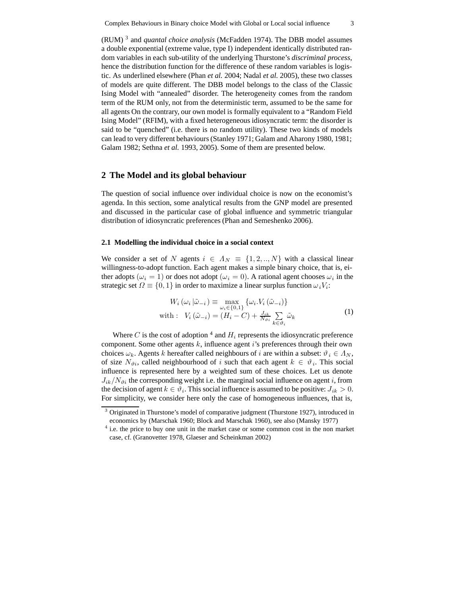(RUM) <sup>3</sup> and *quantal choice analysis* (McFadden 1974). The DBB model assumes a double exponential (extreme value, type I) independent identically distributed random variables in each sub-utility of the underlying Thurstone's *discriminal process*, hence the distribution function for the difference of these random variables is logistic. As underlined elsewhere (Phan *et al.* 2004; Nadal *et al.* 2005), these two classes of models are quite different. The DBB model belongs to the class of the Classic Ising Model with "annealed" disorder. The heterogeneity comes from the random term of the RUM only, not from the deterministic term, assumed to be the same for all agents On the contrary, our own model is formally equivalent to a "Random Field Ising Model" (RFIM), with a fixed heterogeneous idiosyncratic term: the disorder is said to be "quenched" (i.e. there is no random utility). These two kinds of models can lead to very different behaviours (Stanley 1971; Galam and Aharony 1980, 1981; Galam 1982; Sethna *et al.* 1993, 2005). Some of them are presented below.

### **2 The Model and its global behaviour**

The question of social influence over individual choice is now on the economist's agenda. In this section, some analytical results from the GNP model are presented and discussed in the particular case of global influence and symmetric triangular distribution of idiosyncratic preferences (Phan and Semeshenko 2006).

#### **2.1 Modelling the individual choice in a social context**

We consider a set of N agents  $i \in \Lambda_N \equiv \{1, 2, ..., N\}$  with a classical linear willingness-to-adopt function. Each agent makes a simple binary choice, that is, either adopts ( $\omega_i = 1$ ) or does not adopt ( $\omega_i = 0$ ). A rational agent chooses  $\omega_i$  in the strategic set  $\Omega \equiv \{0, 1\}$  in order to maximize a linear surplus function  $\omega_i V_i$ :

$$
W_i(\omega_i|\tilde{\omega}_{-i}) \equiv \max_{\omega_i \in \{0,1\}} \{\omega_i \cdot V_i(\tilde{\omega}_{-i})\}
$$
  
with:  $V_i(\tilde{\omega}_{-i}) = (H_i - C) + \frac{J_{ik}}{N_{\vartheta_i}} \sum_{k \in \vartheta_i} \tilde{\omega}_k$  (1)

Where C is the cost of adoption  $4$  and  $H_i$  represents the idiosyncratic preference component. Some other agents  $k$ , influence agent  $i$ 's preferences through their own choices  $\omega_k$ . Agents k hereafter called neighbours of i are within a subset:  $\vartheta_i \in A_N$ , of size  $N_{\vartheta i}$ , called neighbourhood of i such that each agent  $k \in \vartheta_i$ . This social influence is represented here by a weighted sum of these choices. Let us denote  $J_{ik}/N_{\vartheta i}$  the corresponding weight i.e. the marginal social influence on agent i, from the decision of agent  $k \in \vartheta_i$ . This social influence is assumed to be positive:  $J_{ik} > 0$ . For simplicity, we consider here only the case of homogeneous influences, that is,

<sup>&</sup>lt;sup>3</sup> Originated in Thurstone's model of comparative judgment (Thurstone 1927), introduced in economics by (Marschak 1960; Block and Marschak 1960), see also (Mansky 1977)

<sup>&</sup>lt;sup>4</sup> i.e. the price to buy one unit in the market case or some common cost in the non market case, cf. (Granovetter 1978, Glaeser and Scheinkman 2002)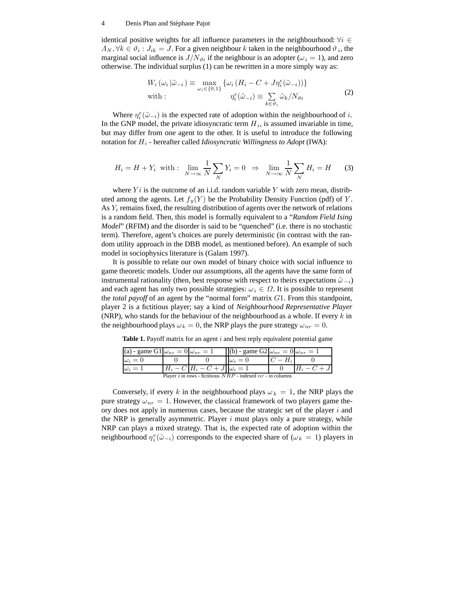identical positive weights for all influence parameters in the neighbourhood:  $\forall i \in$  $\Lambda_N, \forall k \in \vartheta_i : J_{ik} = J$ . For a given neighbour k taken in the neighbourhood  $\vartheta_i$ , the marginal social influence is  $J/N_{\vartheta i}$  if the neighbour is an adopter ( $\omega_i = 1$ ), and zero otherwise. The individual surplus (1) can be rewritten in a more simply way as:

$$
W_i(\omega_i | \tilde{\omega}_{-i}) \equiv \max_{\omega_i \in \{0,1\}} \{ \omega_i (H_i - C + J\eta_i^e(\tilde{\omega}_{-i})) \}
$$
  
with : 
$$
\eta_i^e(\tilde{\omega}_{-i}) \equiv \sum_{k \in \vartheta_i} \tilde{\omega}_k / N_{\vartheta_i}
$$
 (2)

Where  $\eta_i^e(\tilde{\omega}_{-i})$  is the expected rate of adoption within the neighbourhood of i. In the GNP model, the private idiosyncratic term  $H<sub>i</sub>$ , is assumed invariable in time, but may differ from one agent to the other. It is useful to introduce the following notation for H<sup>i</sup> - hereafter called *Idiosyncratic Willingness to Adopt* (IWA):

$$
H_i = H + Y_i \text{ with : } \lim_{N \to \infty} \frac{1}{N} \sum_N Y_i = 0 \implies \lim_{N \to \infty} \frac{1}{N} \sum_N H_i = H \tag{3}
$$

where  $Y_i$  is the outcome of an i.i.d. random variable Y with zero mean, distributed among the agents. Let  $f_y(Y)$  be the Probability Density Function (pdf) of Y. As  $Y_i$  remains fixed, the resulting distribution of agents over the network of relations is a random field. Then, this model is formally equivalent to a "*Random Field Ising Model*" (RFIM) and the disorder is said to be "quenched" (i.e. there is no stochastic term). Therefore, agent's choices are purely deterministic (in contrast with the random utility approach in the DBB model, as mentioned before). An example of such model in sociophysics literature is (Galam 1997).

It is possible to relate our own model of binary choice with social influence to game theoretic models. Under our assumptions, all the agents have the same form of instrumental rationality (then, best response with respect to theirs expectations  $\tilde{\omega}_{-i}$ ) and each agent has only two possible strategies:  $\omega_i \in \Omega$ . It is possible to represent the *total payoff* of an agent by the "normal form" matrix G1. From this standpoint, player 2 is a fictitious player; say a kind of *Neighbourhood Representative Player* (NRP), who stands for the behaviour of the neighbourhood as a whole. If every  $k$  in the neighbourhood plays  $\omega_k = 0$ , the NRP plays the pure strategy  $\omega_{nr} = 0$ .

Table 1. Payoff matrix for an agent i and best reply equivalent potential game

| (a) - game G1 $\omega_{nr} = 0$ $\omega_{nr} = 1$               |  |                                       | $\left  \right $ (b) - game G2 $\left  \omega_{nr} = 0 \right  \omega_{nr} = 1$ |         |               |
|-----------------------------------------------------------------|--|---------------------------------------|---------------------------------------------------------------------------------|---------|---------------|
| $\omega_i=0$                                                    |  |                                       | $\omega_i=0$                                                                    | $C-H_i$ |               |
| $\omega_i=1$                                                    |  | $H_i - C H_i - C + J $ $\omega_i = 1$ |                                                                                 |         | $H_i - C + J$ |
| Player i in rows - fictitious $NRP$ - indexed $nr$ - in columns |  |                                       |                                                                                 |         |               |

Conversely, if every k in the neighbourhood plays  $\omega_k = 1$ , the NRP plays the pure strategy  $\omega_{nr} = 1$ . However, the classical framework of two players game theory does not apply in numerous cases, because the strategic set of the player  $i$  and the NRP is generally asymmetric. Player  $i$  must plays only a pure strategy, while NRP can plays a mixed strategy. That is, the expected rate of adoption within the neighbourhood  $\eta_i^e(\tilde{\omega}_{-i})$  corresponds to the expected share of  $(\omega_k = 1)$  players in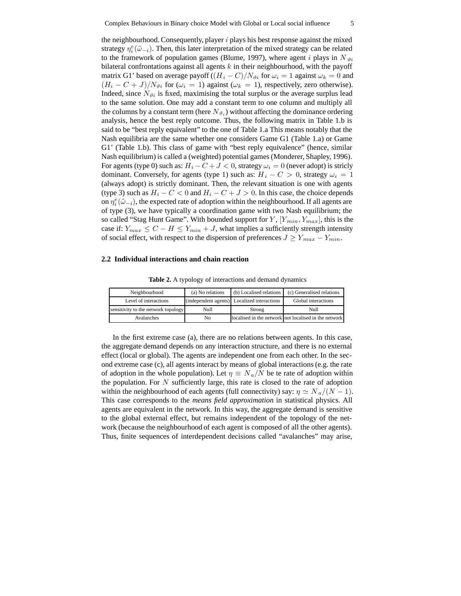the neighbourhood. Consequently, player  $i$  plays his best response against the mixed strategy  $\eta_i^e(\tilde{\omega}_{-i})$ . Then, this later interpretation of the mixed strategy can be related to the framework of population games (Blume, 1997), where agent i plays in  $N_{\vartheta i}$ bilateral confrontations against all agents  $k$  in their neighbourhood, with the payoff matrix G1' based on average payoff  $((H_i - C)/N_{\vartheta i}$  for  $\omega_i = 1$  against  $\omega_k = 0$  and  $(H_i - C + J)/N_{\vartheta i}$  for  $(\omega_i = 1)$  against  $(\omega_k = 1)$ , respectively, zero otherwise). Indeed, since  $N_{\vartheta i}$  is fixed, maximising the total surplus or the average surplus lead to the same solution. One may add a constant term to one column and multiply all the columns by a constant term (here  $N_{\vartheta_i}$ ) without affecting the dominance ordering analysis, hence the best reply outcome. Thus, the following matrix in Table 1.b is said to be "best reply equivalent" to the one of Table 1.a This means notably that the Nash equilibria are the same whether one considers Game G1 (Table 1.a) or Game G1' (Table 1.b). This class of game with "best reply equivalence" (hence, similar Nash equilibrium) is called a (weighted) potential games (Monderer, Shapley, 1996). For agents (type 0) such as:  $H_i - C + J < 0$ , strategy  $\omega_i = 0$  (never adopt) is stricly dominant. Conversely, for agents (type 1) such as:  $H_i - C > 0$ , strategy  $\omega_i = 1$ (always adopt) is strictly dominant. Then, the relevant situation is one with agents (type 3) such as  $H_i - C < 0$  and  $H_i - C + J > 0$ . In this case, the choice depends on  $\eta_i^e(\tilde{\omega}_{-i})$ , the expected rate of adoption within the neighbourhood. If all agents are of type (3), we have typically a coordination game with two Nash equilibrium; the so called "Stag Hunt Game". With bounded support for Y,  $[Y_{min}, Y_{max}]$ , this is the case if:  $Y_{max} \leq C - H \leq Y_{min} + J$ , what implies a sufficiently strength intensity of social effect, with respect to the dispersion of preferences  $J \ge Y_{max} - Y_{min}$ .

#### **2.2 Individual interactions and chain reaction**

**Table 2.** A typology of interactions and demand dynamics

| Neighbourhood                       | (a) No relations | (b) Localised relations                     | (c) Generalised relations                             |
|-------------------------------------|------------------|---------------------------------------------|-------------------------------------------------------|
| Level of interactions               |                  | (independent agents) Localized interactions | Global interactions                                   |
| sensitivity to the network topology | Null             | Strong                                      | Null                                                  |
| Avalanches                          | No               |                                             | localised in the network not localised in the network |

In the first extreme case (a), there are no relations between agents. In this case, the aggregate demand depends on any interaction structure, and there is no external effect (local or global). The agents are independent one from each other. In the second extreme case (c), all agents interact by means of global interactions (e.g. the rate of adoption in the whole population). Let  $\eta \equiv N_a/N$  be te rate of adoption within the population. For  $N$  sufficiently large, this rate is closed to the rate of adoption within the neighbourhood of each agents (full connectivity) say:  $\eta \simeq N_a/(N-1)$ . This case corresponds to the *means field approximation* in statistical physics. All agents are equivalent in the network. In this way, the aggregate demand is sensitive to the global external effect, but remains independent of the topology of the network (because the neighbourhood of each agent is composed of all the other agents). Thus, finite sequences of interdependent decisions called "avalanches" may arise,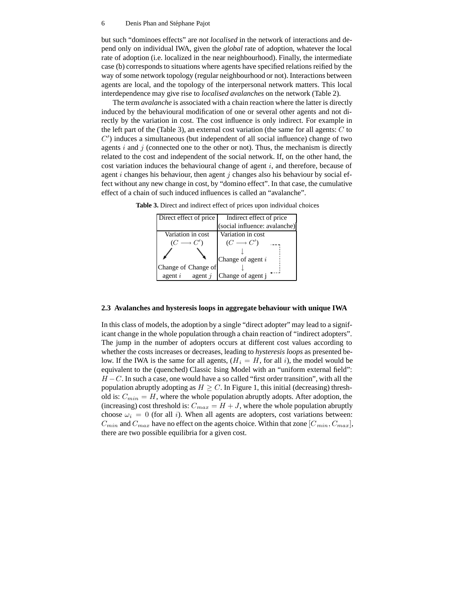but such "dominoes effects" are *not localised* in the network of interactions and depend only on individual IWA, given the *global* rate of adoption, whatever the local rate of adoption (i.e. localized in the near neighbourhood). Finally, the intermediate case (b) corresponds to situations where agents have specified relations reified by the way of some network topology (regular neighbourhood or not). Interactions between agents are local, and the topology of the interpersonal network matters. This local interdependence may give rise to *localised avalanches* on the network (Table 2).

The term *avalanche* is associated with a chain reaction where the latter is directly induced by the behavioural modification of one or several other agents and not directly by the variation in cost. The cost influence is only indirect. For example in the left part of the (Table 3), an external cost variation (the same for all agents:  $C$  to  $C'$ ) induces a simultaneous (but independent of all social influence) change of two agents  $i$  and  $j$  (connected one to the other or not). Thus, the mechanism is directly related to the cost and independent of the social network. If, on the other hand, the cost variation induces the behavioural change of agent  $i$ , and therefore, because of agent i changes his behaviour, then agent  $j$  changes also his behaviour by social effect without any new change in cost, by "domino effect". In that case, the cumulative effect of a chain of such induced influences is called an "avalanche".

| Direct effect of price   | Indirect effect of price      |  |  |
|--------------------------|-------------------------------|--|--|
|                          | (social influence: avalanche) |  |  |
| Variation in cost        | Variation in cost             |  |  |
| $(C \longrightarrow C')$ | $(C \longrightarrow C')$      |  |  |
|                          |                               |  |  |
|                          | Change of agent $i$           |  |  |
| Change of Change of      |                               |  |  |
| agent $i$                | agent $j$ Change of agent j   |  |  |

**Table 3.** Direct and indirect effect of prices upon individual choices

#### **2.3 Avalanches and hysteresis loops in aggregate behaviour with unique IWA**

In this class of models, the adoption by a single "direct adopter" may lead to a significant change in the whole population through a chain reaction of "indirect adopters". The jump in the number of adopters occurs at different cost values according to whether the costs increases or decreases, leading to *hysteresis loops* as presented below. If the IWA is the same for all agents,  $(H_i = H, \text{ for all } i)$ , the model would be equivalent to the (quenched) Classic Ising Model with an "uniform external field":  $H - C$ . In such a case, one would have a so called "first order transition", with all the population abruptly adopting as  $H \geq C$ . In Figure 1, this initial (decreasing) threshold is:  $C_{min} = H$ , where the whole population abruptly adopts. After adoption, the (increasing) cost threshold is:  $C_{max} = H + J$ , where the whole population abruptly choose  $\omega_i = 0$  (for all i). When all agents are adopters, cost variations between:  $C_{min}$  and  $C_{max}$  have no effect on the agents choice. Within that zone  $[C_{min}, C_{max}]$ , there are two possible equilibria for a given cost.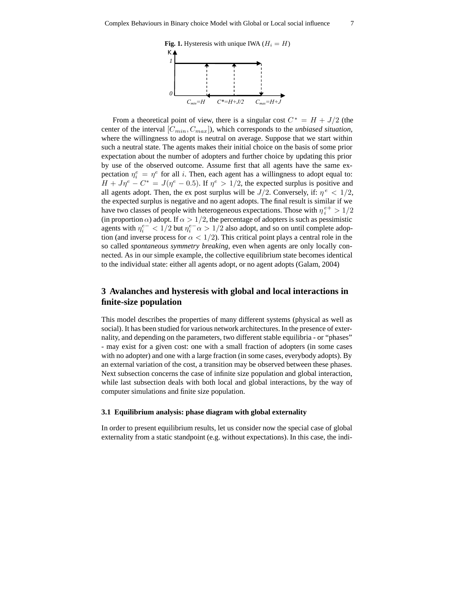

From a theoretical point of view, there is a singular cost  $C^* = H + J/2$  (the center of the interval  $[C_{min}, C_{max}]$ , which corresponds to the *unbiased situation*, where the willingness to adopt is neutral on average. Suppose that we start within such a neutral state. The agents makes their initial choice on the basis of some prior expectation about the number of adopters and further choice by updating this prior by use of the observed outcome. Assume first that all agents have the same expectation  $\eta_i^e = \eta^e$  for all *i*. Then, each agent has a willingness to adopt equal to:  $H + J\eta^e - C^* = J(\eta^e - 0.5)$ . If  $\eta^e > 1/2$ , the expected surplus is positive and all agents adopt. Then, the ex post surplus will be  $J/2$ . Conversely, if:  $\eta^e < 1/2$ , the expected surplus is negative and no agent adopts. The final result is similar if we have two classes of people with heterogeneous expectations. Those with  $\eta_i^{e+} > 1/2$ (in proportion  $\alpha$ ) adopt. If  $\alpha > 1/2$ , the percentage of adopters is such as pessimistic agents with  $\eta_i^{e-} < 1/2$  but  $\eta_i^{e-} \alpha > 1/2$  also adopt, and so on until complete adoption (and inverse process for  $\alpha < 1/2$ ). This critical point plays a central role in the so called *spontaneous symmetry breaking*, even when agents are only locally connected. As in our simple example, the collective equilibrium state becomes identical to the individual state: either all agents adopt, or no agent adopts (Galam, 2004)

# **3 Avalanches and hysteresis with global and local interactions in finite-size population**

This model describes the properties of many different systems (physical as well as social). It has been studied for various network architectures. In the presence of externality, and depending on the parameters, two different stable equilibria - or "phases" - may exist for a given cost: one with a small fraction of adopters (in some cases with no adopter) and one with a large fraction (in some cases, everybody adopts). By an external variation of the cost, a transition may be observed between these phases. Next subsection concerns the case of infinite size population and global interaction, while last subsection deals with both local and global interactions, by the way of computer simulations and finite size population.

#### **3.1 Equilibrium analysis: phase diagram with global externality**

In order to present equilibrium results, let us consider now the special case of global externality from a static standpoint (e.g. without expectations). In this case, the indi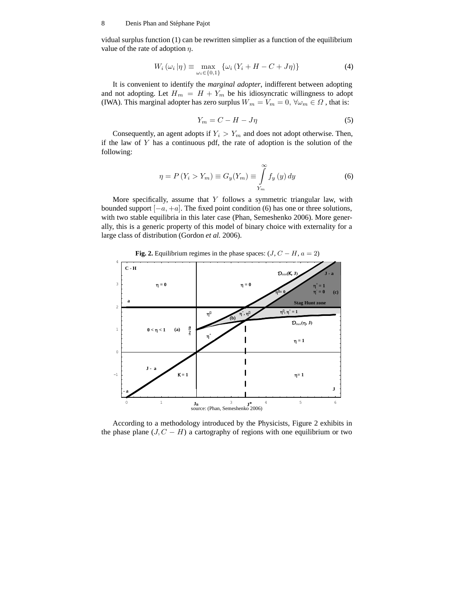vidual surplus function (1) can be rewritten simplier as a function of the equilibrium value of the rate of adoption  $\eta$ .

$$
W_i(\omega_i|\eta) \equiv \max_{\omega_i \in \{0,1\}} \{ \omega_i \left( Y_i + H - C + J\eta \right) \} \tag{4}
$$

It is convenient to identify the *marginal adopter*, indifferent between adopting and not adopting. Let  $H_m = H + Y_m$  be his idiosyncratic willingness to adopt (IWA). This marginal adopter has zero surplus  $W_m = V_m = 0, \, \forall \omega_m \in \varOmega$  , that is:

$$
Y_m = C - H - J\eta \tag{5}
$$

Consequently, an agent adopts if  $Y_i > Y_m$  and does not adopt otherwise. Then, if the law of  $Y$  has a continuous pdf, the rate of adoption is the solution of the following:

$$
\eta = P(Y_i > Y_m) \equiv G_y(Y_m) \equiv \int_{Y_m}^{\infty} f_y(y) \, dy \tag{6}
$$

More specifically, assume that  $Y$  follows a symmetric triangular law, with bounded support  $[-a, +a]$ . The fixed point condition (6) has one or three solutions, with two stable equilibria in this later case (Phan, Semeshenko 2006). More generally, this is a generic property of this model of binary choice with externality for a large class of distribution (Gordon *et al.* 2006).



**Fig. 2.** Equilibrium regimes in the phase spaces:  $(J, C - H, a = 2)$ 

According to a methodology introduced by the Physicists, Figure 2 exhibits in the phase plane  $(J, C - H)$  a cartography of regions with one equilibrium or two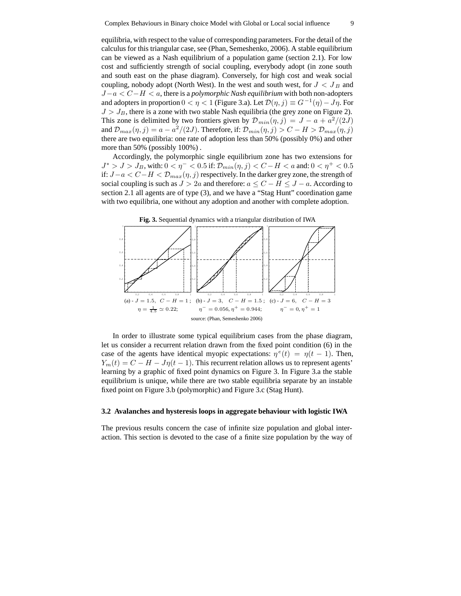equilibria, with respect to the value of corresponding parameters. For the detail of the calculus for this triangular case, see (Phan, Semeshenko, 2006). A stable equilibrium can be viewed as a Nash equilibrium of a population game (section 2.1). For low cost and sufficiently strength of social coupling, everybody adopt (in zone south and south east on the phase diagram). Conversely, for high cost and weak social coupling, nobody adopt (North West). In the west and south west, for  $J < J_B$  and *J*−a < *C*−*H* < a, there is a *polymorphic Nash equilibrium* with both non-adopters and adopters in proportion  $0 < \eta < 1$  (Figure 3.a). Let  $\mathcal{D}(\eta, j) \equiv G^{-1}(\eta) - J\eta$ . For  $J>J_B$ , there is a zone with two stable Nash equilibria (the grey zone on Figure 2). This zone is delimited by two frontiers given by  $\mathcal{D}_{min}(\eta, j) = J - a + a^2/(2J)$ and  $\mathcal{D}_{max}(\eta, j) = a - a^2/(2J)$ . Therefore, if:  $\mathcal{D}_{min}(\eta, j) > C - H > \mathcal{D}_{max}(\eta, j)$ there are two equilibria: one rate of adoption less than 50% (possibly 0%) and other more than 50% (possibly 100%).

Accordingly, the polymorphic single equilibrium zone has two extensions for  $J^* > J > J_B$ , with:  $0 < \eta^- < 0.5$  if:  $\mathcal{D}_{min}(\eta, j) < C - H < a$  and:  $0 < \eta^+ < 0.5$ if:  $J-a < C-H < \mathcal{D}_{max}(\eta, j)$  respectively. In the darker grey zone, the strength of social coupling is such as  $J > 2a$  and therefore:  $a \leq C - H \leq J - a$ . According to section 2.1 all agents are of type (3), and we have a "Stag Hunt" coordination game with two equilibria, one without any adoption and another with complete adoption.



**Fig. 3.** Sequential dynamics with a triangular distribution of IWA

In order to illustrate some typical equilibrium cases from the phase diagram, let us consider a recurrent relation drawn from the fixed point condition (6) in the case of the agents have identical myopic expectations:  $\eta^e(t) = \eta(t-1)$ . Then,  $Y_m(t) = C - H - J\eta(t-1)$ . This recurrent relation allows us to represent agents' learning by a graphic of fixed point dynamics on Figure 3. In Figure 3.a the stable equilibrium is unique, while there are two stable equilibria separate by an instable fixed point on Figure 3.b (polymorphic) and Figure 3.c (Stag Hunt).

#### **3.2 Avalanches and hysteresis loops in aggregate behaviour with logistic IWA**

The previous results concern the case of infinite size population and global interaction. This section is devoted to the case of a finite size population by the way of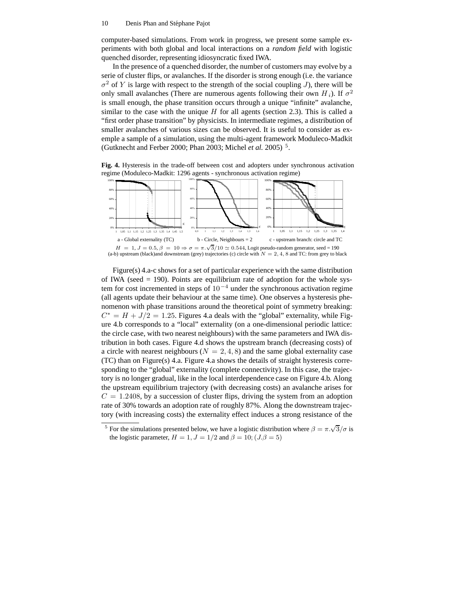computer-based simulations. From work in progress, we present some sample experiments with both global and local interactions on a *random field* with logistic quenched disorder, representing idiosyncratic fixed IWA.

In the presence of a quenched disorder, the number of customers may evolve by a serie of cluster flips, or avalanches. If the disorder is strong enough (i.e. the variance  $\sigma^2$  of Y is large with respect to the strength of the social coupling J), there will be only small avalanches (There are numerous agents following their own  $H_i$ ). If  $\sigma^2$ is small enough, the phase transition occurs through a unique "infinite" avalanche, similar to the case with the unique  $H$  for all agents (section 2.3). This is called a "first order phase transition" by physicists. In intermediate regimes, a distribution of smaller avalanches of various sizes can be observed. It is useful to consider as exemple a sample of a simulation, using the multi-agent framework Moduleco-Madkit (Gutknecht and Ferber 2000; Phan 2003; Michel *et al.* 2005) 5.

**Fig. 4.** Hysteresis in the trade-off between cost and adopters under synchronous activation regime (Moduleco-Madkit: 1296 agents - synchronous activation regime)



Figure(s) 4.a-c shows for a set of particular experience with the same distribution of IWA (seed  $= 190$ ). Points are equilibrium rate of adoption for the whole system for cost incremented in steps of  $10^{-4}$  under the synchronous activation regime (all agents update their behaviour at the same time). One observes a hysteresis phenomenon with phase transitions around the theoretical point of symmetry breaking:  $C^* = H + J/2 = 1.25$ . Figures 4.a deals with the "global" externality, while Figure 4.b corresponds to a "local" externality (on a one-dimensional periodic lattice: the circle case, with two nearest neighbours) with the same parameters and IWA distribution in both cases. Figure 4.d shows the upstream branch (decreasing costs) of a circle with nearest neighbours ( $N = 2, 4, 8$ ) and the same global externality case (TC) than on Figure(s) 4.a. Figure 4.a shows the details of straight hysteresis corresponding to the "global" externality (complete connectivity). In this case, the trajectory is no longer gradual, like in the local interdependence case on Figure 4.b. Along the upstream equilibrium trajectory (with decreasing costs) an avalanche arises for  $C = 1.2408$ , by a succession of cluster flips, driving the system from an adoption rate of 30% towards an adoption rate of roughly 87%. Along the downstream trajectory (with increasing costs) the externality effect induces a strong resistance of the

<sup>&</sup>lt;sup>5</sup> For the simulations presented below, we have a logistic distribution where  $\beta = \pi \sqrt{3}/\sigma$  is the logistic parameter,  $H = 1$ ,  $J = 1/2$  and  $\beta = 10$ ;  $(J.\beta = 5)$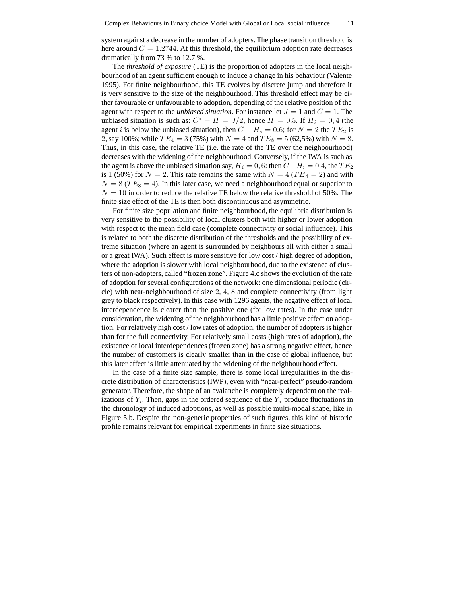system against a decrease in the number of adopters. The phase transition threshold is here around  $C = 1.2744$ . At this threshold, the equilibrium adoption rate decreases dramatically from 73 % to 12.7 %.

The *threshold of exposure* (TE) is the proportion of adopters in the local neighbourhood of an agent sufficient enough to induce a change in his behaviour (Valente 1995). For finite neighbourhood, this TE evolves by discrete jump and therefore it is very sensitive to the size of the neighbourhood. This threshold effect may be either favourable or unfavourable to adoption, depending of the relative position of the agent with respect to the *unbiased situation*. For instance let  $J = 1$  and  $C = 1$ . The unbiased situation is such as:  $C^* - H = J/2$ , hence  $H = 0.5$ . If  $H_i = 0, 4$  (the agent *i* is below the unbiased situation), then  $C - H_i = 0.6$ ; for  $N = 2$  the  $TE_2$  is 2, say 100%; while  $TE_4 = 3(75%)$  with  $N = 4$  and  $TE_8 = 5(62,5%)$  with  $N = 8$ . Thus, in this case, the relative TE (i.e. the rate of the TE over the neighbourhood) decreases with the widening of the neighbourhood. Conversely, if the IWA is such as the agent is above the unbiased situation say,  $H_i = 0, 6$ : then  $C - H_i = 0.4$ , the  $TE_2$ is 1 (50%) for  $N = 2$ . This rate remains the same with  $N = 4$  (T $E_4 = 2$ ) and with  $N = 8$  (TE<sub>8</sub> = 4). In this later case, we need a neighbourhood equal or superior to  $N = 10$  in order to reduce the relative TE below the relative threshold of 50%. The finite size effect of the TE is then both discontinuous and asymmetric.

For finite size population and finite neighbourhood, the equilibria distribution is very sensitive to the possibility of local clusters both with higher or lower adoption with respect to the mean field case (complete connectivity or social influence). This is related to both the discrete distribution of the thresholds and the possibility of extreme situation (where an agent is surrounded by neighbours all with either a small or a great IWA). Such effect is more sensitive for low cost / high degree of adoption, where the adoption is slower with local neighbourhood, due to the existence of clusters of non-adopters, called "frozen zone". Figure 4.c shows the evolution of the rate of adoption for several configurations of the network: one dimensional periodic (circle) with near-neighbourhood of size 2, 4, 8 and complete connectivity (from light grey to black respectively). In this case with 1296 agents, the negative effect of local interdependence is clearer than the positive one (for low rates). In the case under consideration, the widening of the neighbourhood has a little positive effect on adoption. For relatively high cost / low rates of adoption, the number of adopters is higher than for the full connectivity. For relatively small costs (high rates of adoption), the existence of local interdependences (frozen zone) has a strong negative effect, hence the number of customers is clearly smaller than in the case of global influence, but this later effect is little attenuated by the widening of the neighbourhood effect.

In the case of a finite size sample, there is some local irregularities in the discrete distribution of characteristics (IWP), even with "near-perfect" pseudo-random generator. Therefore, the shape of an avalanche is completely dependent on the realizations of  $Y_i$ . Then, gaps in the ordered sequence of the  $Y_i$  produce fluctuations in the chronology of induced adoptions, as well as possible multi-modal shape, like in Figure 5.b. Despite the non-generic properties of such figures, this kind of historic profile remains relevant for empirical experiments in finite size situations.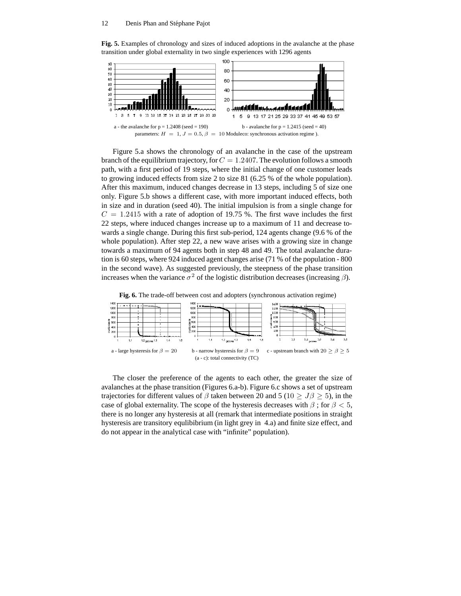**Fig. 5.** Examples of chronology and sizes of induced adoptions in the avalanche at the phase transition under global externality in two single experiences with 1296 agents



Figure 5.a shows the chronology of an avalanche in the case of the upstream branch of the equilibrium trajectory, for  $C = 1.2407$ . The evolution follows a smooth path, with a first period of 19 steps, where the initial change of one customer leads to growing induced effects from size 2 to size 81 (6.25 % of the whole population). After this maximum, induced changes decrease in 13 steps, including 5 of size one only. Figure 5.b shows a different case, with more important induced effects, both in size and in duration (seed 40). The initial impulsion is from a single change for  $C = 1.2415$  with a rate of adoption of 19.75 %. The first wave includes the first 22 steps, where induced changes increase up to a maximum of 11 and decrease towards a single change. During this first sub-period, 124 agents change (9.6 % of the whole population). After step 22, a new wave arises with a growing size in change towards a maximum of 94 agents both in step 48 and 49. The total avalanche duration is 60 steps, where 924 induced agent changes arise (71 % of the population - 800 in the second wave). As suggested previously, the steepness of the phase transition increases when the variance  $\sigma^2$  of the logistic distribution decreases (increasing  $\beta$ ).

**Fig. 6.** The trade-off between cost and adopters (synchronous activation regime)



The closer the preference of the agents to each other, the greater the size of avalanches at the phase transition (Figures 6.a-b). Figure 6.c shows a set of upstream trajectories for different values of  $\beta$  taken between 20 and 5 (10  $\geq J\beta \geq 5$ ), in the case of global externality. The scope of the hysteresis decreases with  $\beta$ ; for  $\beta < 5$ , there is no longer any hysteresis at all (remark that intermediate positions in straight hysteresis are transitory equlibibrium (in light grey in 4.a) and finite size effect, and do not appear in the analytical case with "infinite" population).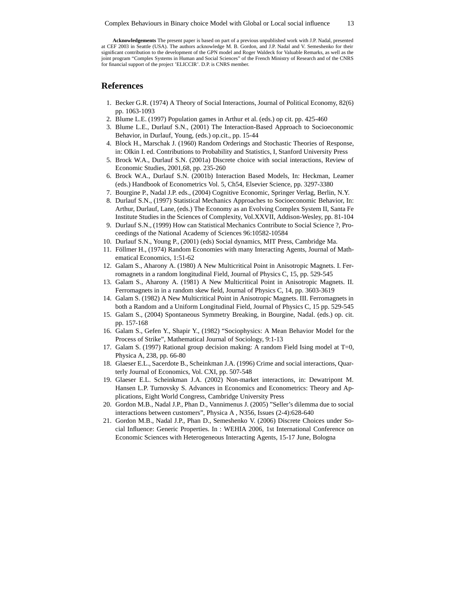**Acknowledgements** The present paper is based on part of a previous unpublished work with J.P. Nadal, presented at CEF 2003 in Seattle (USA). The authors acknowledge M. B. Gordon, and J.P. Nadal and V. Semeshenko for their significant contribution to the development of the GPN model and Roger Waldeck for Valuable Remarks, as well as the joint program "Complex Systems in Human and Social Sciences" of the French Ministry of Research and of the CNRS for financial support of the project 'ELICCIR'. D.P. is CNRS member.

### **References**

- 1. Becker G.R. (1974) A Theory of Social Interactions, Journal of Political Economy, 82(6) pp. 1063-1093
- 2. Blume L.E. (1997) Population games in Arthur et al. (eds.) op cit. pp. 425-460
- 3. Blume L.E., Durlauf S.N., (2001) The Interaction-Based Approach to Socioeconomic Behavior, in Durlauf, Young, (eds.) op.cit., pp. 15-44
- 4. Block H., Marschak J. (1960) Random Orderings and Stochastic Theories of Response, in: Olkin I. ed. Contributions to Probability and Statistics, I, Stanford University Press
- 5. Brock W.A., Durlauf S.N. (2001a) Discrete choice with social interactions, Review of Economic Studies, 2001,68, pp. 235-260
- 6. Brock W.A., Durlauf S.N. (2001b) Interaction Based Models, In: Heckman, Leamer (eds.) Handbook of Econometrics Vol. 5, Ch54, Elsevier Science, pp. 3297-3380
- 7. Bourgine P., Nadal J.P. eds., (2004) Cognitive Economic, Springer Verlag, Berlin, N.Y. 8. Durlauf S.N., (1997) Statistical Mechanics Approaches to Socioeconomic Behavior, In:
- Arthur, Durlauf, Lane, (eds.) The Economy as an Evolving Complex System II, Santa Fe Institute Studies in the Sciences of Complexity, Vol.XXVII, Addison-Wesley, pp. 81-104 9. Durlauf S.N., (1999) How can Statistical Mechanics Contribute to Social Science ?, Pro-
- ceedings of the National Academy of Sciences 96:10582-10584
- 10. Durlauf S.N., Young P., (2001) (eds) Social dynamics, MIT Press, Cambridge Ma.
- 11. Föllmer H., (1974) Random Economies with many Interacting Agents, Journal of Mathematical Economics, 1:51-62
- 12. Galam S., Aharony A. (1980) A New Multicritical Point in Anisotropic Magnets. I. Ferromagnets in a random longitudinal Field, Journal of Physics C, 15, pp. 529-545
- 13. Galam S., Aharony A. (1981) A New Multicritical Point in Anisotropic Magnets. II. Ferromagnets in in a random skew field, Journal of Physics C, 14, pp. 3603-3619
- 14. Galam S. (1982) A New Multicritical Point in Anisotropic Magnets. III. Ferromagnets in both a Random and a Uniform Longitudinal Field, Journal of Physics C, 15 pp. 529-545
- 15. Galam S., (2004) Spontaneous Symmetry Breaking, in Bourgine, Nadal. (eds.) op. cit. pp. 157-168
- 16. Galam S., Gefen Y., Shapir Y., (1982) "Sociophysics: A Mean Behavior Model for the Process of Strike", Mathematical Journal of Sociology, 9:1-13
- 17. Galam S. (1997) Rational group decision making: A random Field Ising model at T=0, Physica A, 238, pp. 66-80
- 18. Glaeser E.L., Sacerdote B., Scheinkman J.A. (1996) Crime and social interactions, Quarterly Journal of Economics, Vol. CXI, pp. 507-548
- 19. Glaeser E.L. Scheinkman J.A. (2002) Non-market interactions, in: Dewatripont M. Hansen L.P. Turnovsky S. Advances in Economics and Econometrics: Theory and Applications, Eight World Congress, Cambridge University Press
- 20. Gordon M.B., Nadal J.P., Phan D., Vannimenus J. (2005) "Seller's dilemma due to social interactions between customers", Physica A , N356, Issues (2-4):628-640
- 21. Gordon M.B., Nadal J.P., Phan D., Semeshenko V. (2006) Discrete Choices under Social Influence: Generic Properties. In : WEHIA 2006, 1st International Conference on Economic Sciences with Heterogeneous Interacting Agents, 15-17 June, Bologna